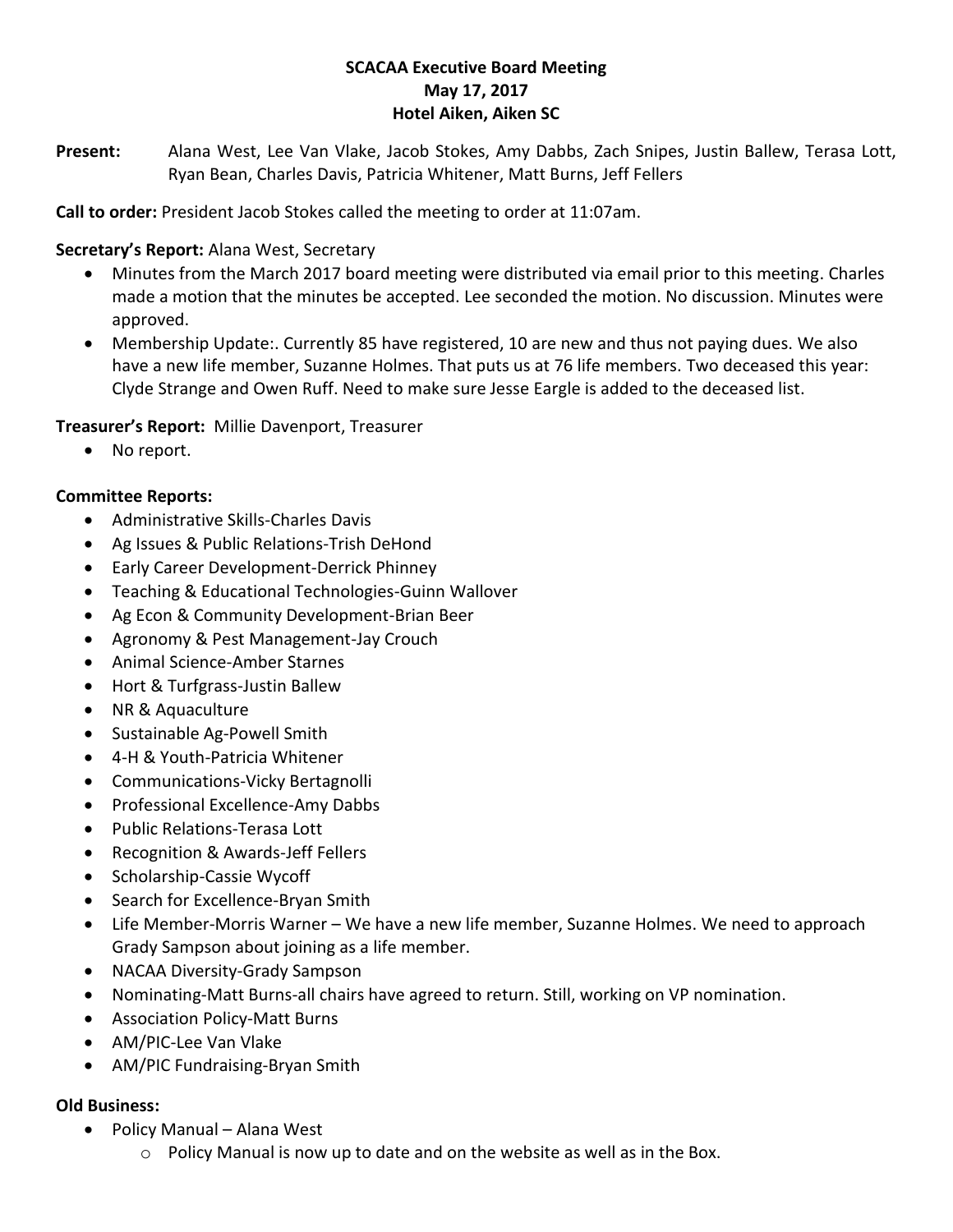# **SCACAA Executive Board Meeting May 17, 2017 Hotel Aiken, Aiken SC**

**Present:** Alana West, Lee Van Vlake, Jacob Stokes, Amy Dabbs, Zach Snipes, Justin Ballew, Terasa Lott, Ryan Bean, Charles Davis, Patricia Whitener, Matt Burns, Jeff Fellers

**Call to order:** President Jacob Stokes called the meeting to order at 11:07am.

## **Secretary's Report:** Alana West, Secretary

- Minutes from the March 2017 board meeting were distributed via email prior to this meeting. Charles made a motion that the minutes be accepted. Lee seconded the motion. No discussion. Minutes were approved.
- Membership Update:. Currently 85 have registered, 10 are new and thus not paying dues. We also have a new life member, Suzanne Holmes. That puts us at 76 life members. Two deceased this year: Clyde Strange and Owen Ruff. Need to make sure Jesse Eargle is added to the deceased list.

**Treasurer's Report:** Millie Davenport, Treasurer

• No report.

### **Committee Reports:**

- Administrative Skills-Charles Davis
- Ag Issues & Public Relations-Trish DeHond
- Early Career Development-Derrick Phinney
- Teaching & Educational Technologies-Guinn Wallover
- Ag Econ & Community Development-Brian Beer
- Agronomy & Pest Management-Jay Crouch
- Animal Science-Amber Starnes
- Hort & Turfgrass-Justin Ballew
- NR & Aquaculture
- Sustainable Ag-Powell Smith
- 4-H & Youth-Patricia Whitener
- Communications-Vicky Bertagnolli
- Professional Excellence-Amy Dabbs
- Public Relations-Terasa Lott
- Recognition & Awards-Jeff Fellers
- Scholarship-Cassie Wycoff
- Search for Excellence-Bryan Smith
- Life Member-Morris Warner We have a new life member, Suzanne Holmes. We need to approach Grady Sampson about joining as a life member.
- NACAA Diversity-Grady Sampson
- Nominating-Matt Burns-all chairs have agreed to return. Still, working on VP nomination.
- Association Policy-Matt Burns
- AM/PIC-Lee Van Vlake
- AM/PIC Fundraising-Bryan Smith

#### **Old Business:**

- Policy Manual Alana West
	- $\circ$  Policy Manual is now up to date and on the website as well as in the Box.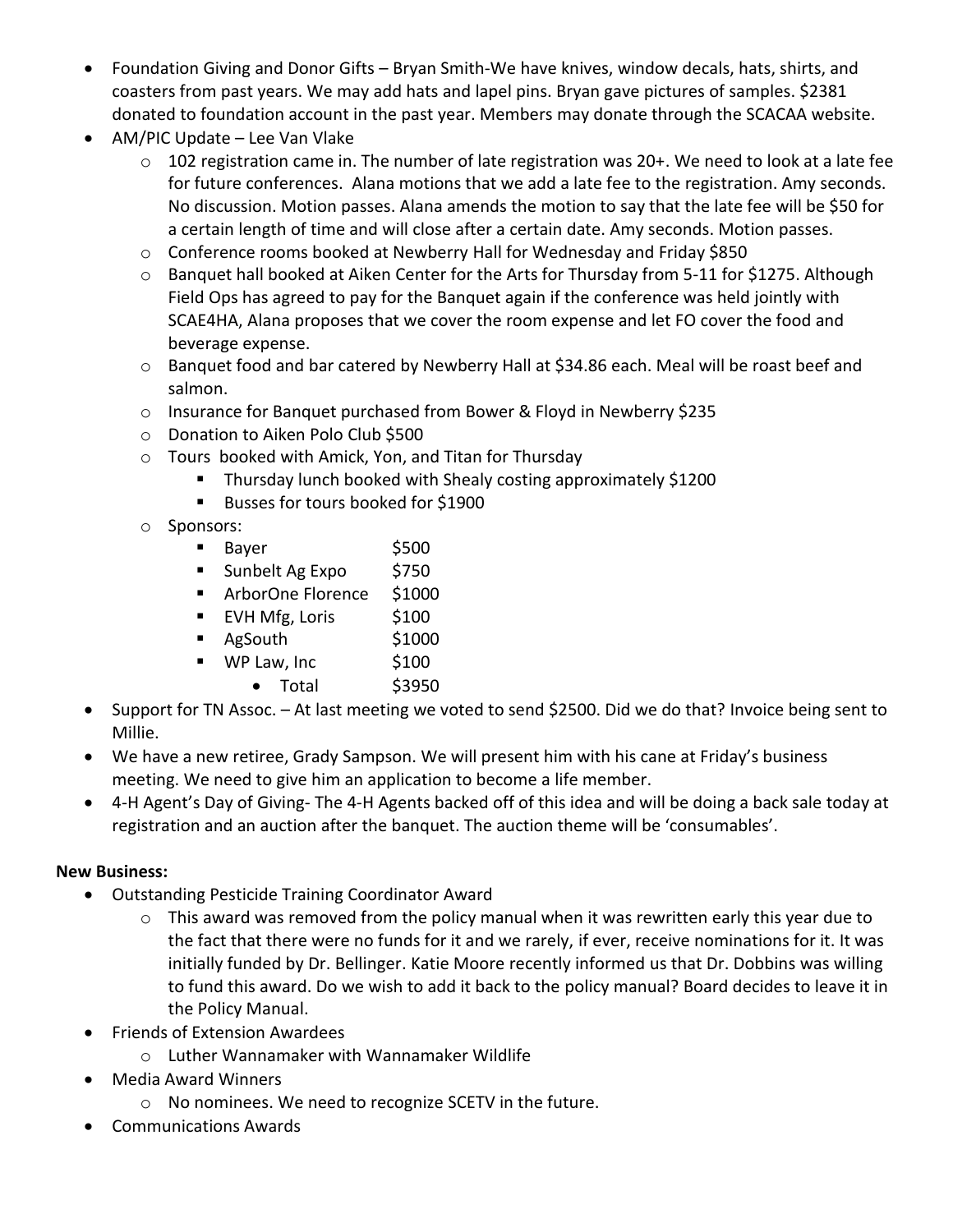- Foundation Giving and Donor Gifts Bryan Smith-We have knives, window decals, hats, shirts, and coasters from past years. We may add hats and lapel pins. Bryan gave pictures of samples. \$2381 donated to foundation account in the past year. Members may donate through the SCACAA website.
- AM/PIC Update Lee Van Vlake
	- $\circ$  102 registration came in. The number of late registration was 20+. We need to look at a late fee for future conferences. Alana motions that we add a late fee to the registration. Amy seconds. No discussion. Motion passes. Alana amends the motion to say that the late fee will be \$50 for a certain length of time and will close after a certain date. Amy seconds. Motion passes.
	- o Conference rooms booked at Newberry Hall for Wednesday and Friday \$850
	- o Banquet hall booked at Aiken Center for the Arts for Thursday from 5-11 for \$1275. Although Field Ops has agreed to pay for the Banquet again if the conference was held jointly with SCAE4HA, Alana proposes that we cover the room expense and let FO cover the food and beverage expense.
	- o Banquet food and bar catered by Newberry Hall at \$34.86 each. Meal will be roast beef and salmon.
	- o Insurance for Banquet purchased from Bower & Floyd in Newberry \$235
	- o Donation to Aiken Polo Club \$500
	- o Tours booked with Amick, Yon, and Titan for Thursday
		- **Thursday lunch booked with Shealy costing approximately \$1200**
		- **Busses for tours booked for \$1900**
	- o Sponsors:
		- Bayer \$500
		- Sunbelt Ag Expo \$750
		- **ArborOne Florence \$1000**
		- $\blacksquare$  EVH Mfg, Loris \$100
		- $\blacksquare$  AgSouth  $$1000$
		- $\blacksquare$  WP Law, Inc  $$100$ 
			- $\bullet$  Total  $$3950$
- Support for TN Assoc. At last meeting we voted to send \$2500. Did we do that? Invoice being sent to Millie.
- We have a new retiree, Grady Sampson. We will present him with his cane at Friday's business meeting. We need to give him an application to become a life member.
- 4-H Agent's Day of Giving- The 4-H Agents backed off of this idea and will be doing a back sale today at registration and an auction after the banquet. The auction theme will be 'consumables'.

# **New Business:**

- Outstanding Pesticide Training Coordinator Award
	- $\circ$  This award was removed from the policy manual when it was rewritten early this year due to the fact that there were no funds for it and we rarely, if ever, receive nominations for it. It was initially funded by Dr. Bellinger. Katie Moore recently informed us that Dr. Dobbins was willing to fund this award. Do we wish to add it back to the policy manual? Board decides to leave it in the Policy Manual.
- **•** Friends of Extension Awardees
	- o Luther Wannamaker with Wannamaker Wildlife
- Media Award Winners
	- o No nominees. We need to recognize SCETV in the future.
- Communications Awards